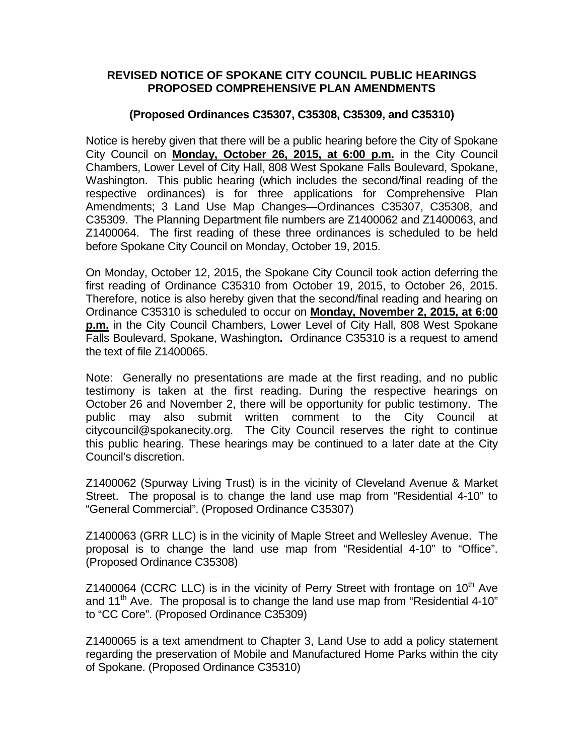## **REVISED NOTICE OF SPOKANE CITY COUNCIL PUBLIC HEARINGS PROPOSED COMPREHENSIVE PLAN AMENDMENTS**

## **(Proposed Ordinances C35307, C35308, C35309, and C35310)**

Notice is hereby given that there will be a public hearing before the City of Spokane City Council on **Monday, October 26, 2015, at 6:00 p.m.** in the City Council Chambers, Lower Level of City Hall, 808 West Spokane Falls Boulevard, Spokane, Washington. This public hearing (which includes the second/final reading of the respective ordinances) is for three applications for Comprehensive Plan Amendments; 3 Land Use Map Changes—Ordinances C35307, C35308, and C35309. The Planning Department file numbers are Z1400062 and Z1400063, and Z1400064. The first reading of these three ordinances is scheduled to be held before Spokane City Council on Monday, October 19, 2015.

On Monday, October 12, 2015, the Spokane City Council took action deferring the first reading of Ordinance C35310 from October 19, 2015, to October 26, 2015. Therefore, notice is also hereby given that the second/final reading and hearing on Ordinance C35310 is scheduled to occur on **Monday, November 2, 2015, at 6:00 p.m.** in the City Council Chambers, Lower Level of City Hall, 808 West Spokane Falls Boulevard, Spokane, Washington**.** Ordinance C35310 is a request to amend the text of file Z1400065.

Note: Generally no presentations are made at the first reading, and no public testimony is taken at the first reading. During the respective hearings on October 26 and November 2, there will be opportunity for public testimony. The public may also submit written comment to the City Council at [citycouncil@spokanecity.org](mailto:citycouncil@spokanecity.org). The City Council reserves the right to continue this public hearing. These hearings may be continued to a later date at the City Council's discretion.

Z1400062 (Spurway Living Trust) is in the vicinity of Cleveland Avenue & Market Street. The proposal is to change the land use map from "Residential 4-10" to "General Commercial". (Proposed Ordinance C35307)

Z1400063 (GRR LLC) is in the vicinity of Maple Street and Wellesley Avenue. The proposal is to change the land use map from "Residential 4-10" to "Office". (Proposed Ordinance C35308)

Z1400064 (CCRC LLC) is in the vicinity of Perry Street with frontage on  $10^{th}$  Ave and 11<sup>th</sup> Ave. The proposal is to change the land use map from "Residential 4-10" to "CC Core". (Proposed Ordinance C35309)

Z1400065 is a text amendment to Chapter 3, Land Use to add a policy statement regarding the preservation of Mobile and Manufactured Home Parks within the city of Spokane. (Proposed Ordinance C35310)